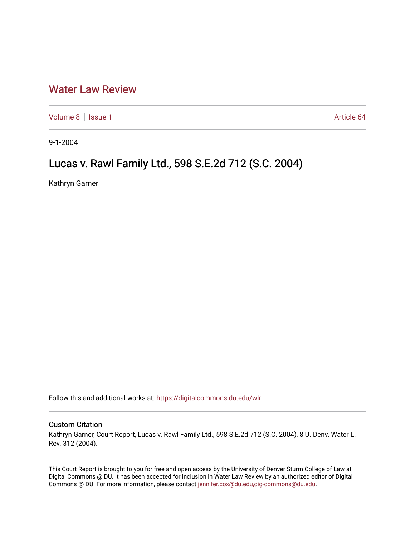## [Water Law Review](https://digitalcommons.du.edu/wlr)

[Volume 8](https://digitalcommons.du.edu/wlr/vol8) | [Issue 1](https://digitalcommons.du.edu/wlr/vol8/iss1) Article 64

9-1-2004

# Lucas v. Rawl Family Ltd., 598 S.E.2d 712 (S.C. 2004)

Kathryn Garner

Follow this and additional works at: [https://digitalcommons.du.edu/wlr](https://digitalcommons.du.edu/wlr?utm_source=digitalcommons.du.edu%2Fwlr%2Fvol8%2Fiss1%2F64&utm_medium=PDF&utm_campaign=PDFCoverPages) 

## Custom Citation

Kathryn Garner, Court Report, Lucas v. Rawl Family Ltd., 598 S.E.2d 712 (S.C. 2004), 8 U. Denv. Water L. Rev. 312 (2004).

This Court Report is brought to you for free and open access by the University of Denver Sturm College of Law at Digital Commons @ DU. It has been accepted for inclusion in Water Law Review by an authorized editor of Digital Commons @ DU. For more information, please contact [jennifer.cox@du.edu,dig-commons@du.edu.](mailto:jennifer.cox@du.edu,dig-commons@du.edu)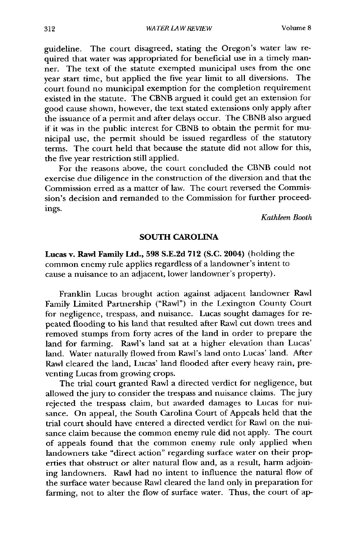guideline. The court disagreed, stating the Oregon's water law required that water was appropriated for beneficial use in a timely manner. The text of the statute exempted municipal uses from the one year start time, but applied the five year limit to all diversions. The court found no municipal exemption for the completion requirement existed in the statute. The CBNB argued it could get an extension for good cause shown, however, the text stated extensions only apply after the issuance of a permit and after delays occur. The CBNB also argued if it was in the public interest for CBNB to obtain the permit for municipal use, the permit should be issued regardless of the statutory terms. The court held that because the statute did not allow for this, the five year restriction still applied.

For the reasons above, the court concluded the CBNB could not exercise due diligence in the construction of the diversion and that the Commission erred as a matter of law. The court reversed the Commission's decision and remanded to the Commission for further proceedings.

*Kathleen* Booth

### **SOUTH CAROLINA**

Lucas v. Rawl Family Ltd., **598** S.E.2d 712 **(S.C.** 2004) (holding the common enemy rule applies regardless of a landowner's intent to cause a nuisance to an adjacent, lower landowner's property).

Franklin Lucas brought action against adjacent landowner Rawl Family Limited Partnership ("Rawl") in the Lexington County Court for negligence, trespass, and nuisance. Lucas sought damages for repeated flooding to his land that resulted after Rawl cut down trees and removed stumps from forty acres of the land in order to prepare the land for farming. Rawl's land sat at a higher elevation than Lucas' land. Water naturally flowed from Rawl's land onto Lucas' land. After Rawl cleared the land, Lucas' land flooded after every heavy rain, preventing Lucas from growing crops.

The trial court granted Rawl a directed verdict for negligence, but allowed the jury to consider the trespass and nuisance claims. The jury rejected the trespass claim, but awarded damages to Lucas for nuisance. On appeal, the South Carolina Court of Appeals held that the trial court should have entered a directed verdict for Rawl on the nuisance claim because the common enemy rule did not apply. The court of appeals found that the common enemy rule only applied when landowners take "direct action" regarding surface water on their properties that obstruct or alter natural flow and, as a result, harm adjoining landowners. Rawl had no intent to influence the natural flow of the surface water because Rawl cleared the land only in preparation for farming, not to alter the flow of surface water. Thus, the court of ap-